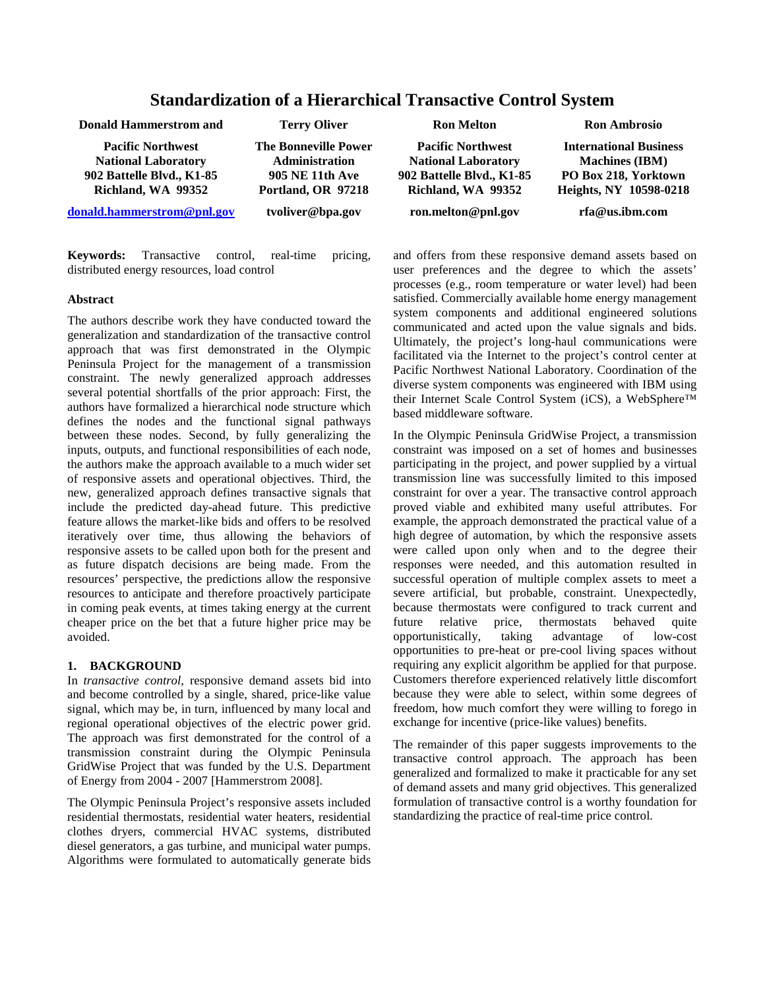# **Standardization of a Hierarchical Transactive Control System**

| <b>Donald Hammerstrom and</b>                                                                             | <b>Terry Oliver</b>                                                                                  | <b>Ron Melton</b>                                                                                         | <b>Ron Ambrosio</b>                                                                                      |
|-----------------------------------------------------------------------------------------------------------|------------------------------------------------------------------------------------------------------|-----------------------------------------------------------------------------------------------------------|----------------------------------------------------------------------------------------------------------|
| <b>Pacific Northwest</b><br><b>National Laboratory</b><br>902 Battelle Blvd., K1-85<br>Richland, WA 99352 | <b>The Bonneville Power</b><br><b>Administration</b><br><b>905 NE 11th Ave</b><br>Portland, OR 97218 | <b>Pacific Northwest</b><br><b>National Laboratory</b><br>902 Battelle Blvd., K1-85<br>Richland, WA 99352 | <b>International Business</b><br><b>Machines</b> (IBM)<br>PO Box 218, Yorktown<br>Heights, NY 10598-0218 |
| donald.hammerstrom@pnl.gov                                                                                | tvoliver@bpa.gov                                                                                     | ron.melton@pnl.gov                                                                                        | rfa@us.ibm.com                                                                                           |

**Keywords:** Transactive control, real-time pricing, distributed energy resources, load control

### **Abstract**

The authors describe work they have conducted toward the generalization and standardization of the transactive control approach that was first demonstrated in the Olympic Peninsula Project for the management of a transmission constraint. The newly generalized approach addresses several potential shortfalls of the prior approach: First, the authors have formalized a hierarchical node structure which defines the nodes and the functional signal pathways between these nodes. Second, by fully generalizing the inputs, outputs, and functional responsibilities of each node, the authors make the approach available to a much wider set of responsive assets and operational objectives. Third, the new, generalized approach defines transactive signals that include the predicted day-ahead future. This predictive feature allows the market-like bids and offers to be resolved iteratively over time, thus allowing the behaviors of responsive assets to be called upon both for the present and as future dispatch decisions are being made. From the resources' perspective, the predictions allow the responsive resources to anticipate and therefore proactively participate in coming peak events, at times taking energy at the current cheaper price on the bet that a future higher price may be avoided.

## **1. BACKGROUND**

In *transactive control*, responsive demand assets bid into and become controlled by a single, shared, price-like value signal, which may be, in turn, influenced by many local and regional operational objectives of the electric power grid. The approach was first demonstrated for the control of a transmission constraint during the Olympic Peninsula GridWise Project that was funded by the U.S. Department of Energy from 2004 - 2007 [Hammerstrom 2008].

The Olympic Peninsula Project's responsive assets included residential thermostats, residential water heaters, residential clothes dryers, commercial HVAC systems, distributed diesel generators, a gas turbine, and municipal water pumps. Algorithms were formulated to automatically generate bids and offers from these responsive demand assets based on user preferences and the degree to which the assets' processes (e.g., room temperature or water level) had been satisfied. Commercially available home energy management system components and additional engineered solutions communicated and acted upon the value signals and bids. Ultimately, the project's long-haul communications were facilitated via the Internet to the project's control center at Pacific Northwest National Laboratory. Coordination of the diverse system components was engineered with IBM using their Internet Scale Control System (iCS), a WebSphere™ based middleware software.

In the Olympic Peninsula GridWise Project, a transmission constraint was imposed on a set of homes and businesses participating in the project, and power supplied by a virtual transmission line was successfully limited to this imposed constraint for over a year. The transactive control approach proved viable and exhibited many useful attributes. For example, the approach demonstrated the practical value of a high degree of automation, by which the responsive assets were called upon only when and to the degree their responses were needed, and this automation resulted in successful operation of multiple complex assets to meet a severe artificial, but probable, constraint. Unexpectedly, because thermostats were configured to track current and<br>future elative price. thermostats behaved quite future relative price, thermostats behaved quite opportunistically, taking advantage of low-cost opportunities to pre-heat or pre-cool living spaces without requiring any explicit algorithm be applied for that purpose. Customers therefore experienced relatively little discomfort because they were able to select, within some degrees of freedom, how much comfort they were willing to forego in exchange for incentive (price-like values) benefits.

The remainder of this paper suggests improvements to the transactive control approach. The approach has been generalized and formalized to make it practicable for any set of demand assets and many grid objectives. This generalized formulation of transactive control is a worthy foundation for standardizing the practice of real-time price control.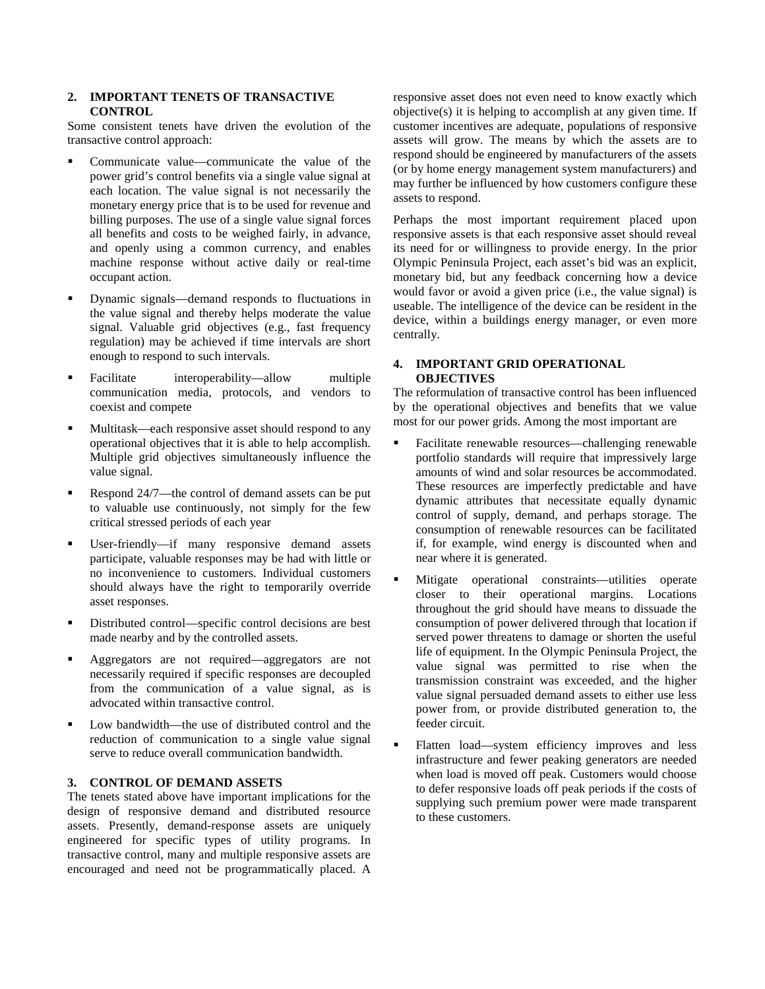#### **2. IMPORTANT TENETS OF TRANSACTIVE CONTROL**

Some consistent tenets have driven the evolution of the transactive control approach:

- Communicate value—communicate the value of the power grid's control benefits via a single value signal at each location. The value signal is not necessarily the monetary energy price that is to be used for revenue and billing purposes. The use of a single value signal forces all benefits and costs to be weighed fairly, in advance, and openly using a common currency, and enables machine response without active daily or real-time occupant action.
- Dynamic signals—demand responds to fluctuations in the value signal and thereby helps moderate the value signal. Valuable grid objectives (e.g., fast frequency regulation) may be achieved if time intervals are short enough to respond to such intervals.
- Facilitate interoperability—allow multiple communication media, protocols, and vendors to coexist and compete
- Multitask—each responsive asset should respond to any operational objectives that it is able to help accomplish. Multiple grid objectives simultaneously influence the value signal.
- Respond 24/7—the control of demand assets can be put to valuable use continuously, not simply for the few critical stressed periods of each year
- User-friendly—if many responsive demand assets participate, valuable responses may be had with little or no inconvenience to customers. Individual customers should always have the right to temporarily override asset responses.
- Distributed control—specific control decisions are best made nearby and by the controlled assets.
- Aggregators are not required—aggregators are not necessarily required if specific responses are decoupled from the communication of a value signal, as is advocated within transactive control.
- Low bandwidth—the use of distributed control and the reduction of communication to a single value signal serve to reduce overall communication bandwidth.

# **3. CONTROL OF DEMAND ASSETS**

The tenets stated above have important implications for the design of responsive demand and distributed resource assets. Presently, demand-response assets are uniquely engineered for specific types of utility programs. In transactive control, many and multiple responsive assets are encouraged and need not be programmatically placed. A

responsive asset does not even need to know exactly which objective(s) it is helping to accomplish at any given time. If customer incentives are adequate, populations of responsive assets will grow. The means by which the assets are to respond should be engineered by manufacturers of the assets (or by home energy management system manufacturers) and may further be influenced by how customers configure these assets to respond.

Perhaps the most important requirement placed upon responsive assets is that each responsive asset should reveal its need for or willingness to provide energy. In the prior Olympic Peninsula Project, each asset's bid was an explicit, monetary bid, but any feedback concerning how a device would favor or avoid a given price (i.e., the value signal) is useable. The intelligence of the device can be resident in the device, within a buildings energy manager, or even more centrally.

#### **4. IMPORTANT GRID OPERATIONAL OBJECTIVES**

The reformulation of transactive control has been influenced by the operational objectives and benefits that we value most for our power grids. Among the most important are

- Facilitate renewable resources—challenging renewable portfolio standards will require that impressively large amounts of wind and solar resources be accommodated. These resources are imperfectly predictable and have dynamic attributes that necessitate equally dynamic control of supply, demand, and perhaps storage. The consumption of renewable resources can be facilitated if, for example, wind energy is discounted when and near where it is generated.
- Mitigate operational constraints—utilities operate closer to their operational margins. Locations throughout the grid should have means to dissuade the consumption of power delivered through that location if served power threatens to damage or shorten the useful life of equipment. In the Olympic Peninsula Project, the value signal was permitted to rise when the transmission constraint was exceeded, and the higher value signal persuaded demand assets to either use less power from, or provide distributed generation to, the feeder circuit.
- Flatten load—system efficiency improves and less infrastructure and fewer peaking generators are needed when load is moved off peak. Customers would choose to defer responsive loads off peak periods if the costs of supplying such premium power were made transparent to these customers.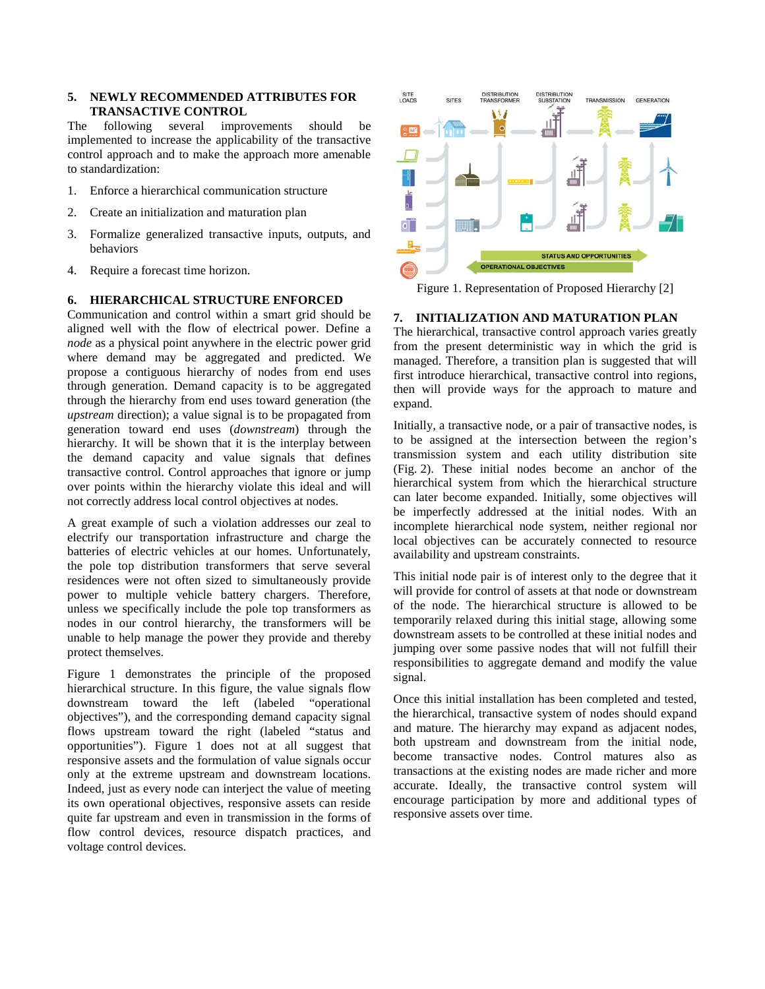## **5. NEWLY RECOMMENDED ATTRIBUTES FOR TRANSACTIVE CONTROL**

The following several improvements should be implemented to increase the applicability of the transactive control approach and to make the approach more amenable to standardization:

- 1. Enforce a hierarchical communication structure
- 2. Create an initialization and maturation plan
- 3. Formalize generalized transactive inputs, outputs, and behaviors
- 4. Require a forecast time horizon.

#### **6. HIERARCHICAL STRUCTURE ENFORCED**

Communication and control within a smart grid should be aligned well with the flow of electrical power. Define a *node* as a physical point anywhere in the electric power grid where demand may be aggregated and predicted. We propose a contiguous hierarchy of nodes from end uses through generation. Demand capacity is to be aggregated through the hierarchy from end uses toward generation (the *upstream* direction); a value signal is to be propagated from generation toward end uses (*downstream*) through the hierarchy. It will be shown that it is the interplay between the demand capacity and value signals that defines transactive control. Control approaches that ignore or jump over points within the hierarchy violate this ideal and will not correctly address local control objectives at nodes.

A great example of such a violation addresses our zeal to electrify our transportation infrastructure and charge the batteries of electric vehicles at our homes. Unfortunately, the pole top distribution transformers that serve several residences were not often sized to simultaneously provide power to multiple vehicle battery chargers. Therefore, unless we specifically include the pole top transformers as nodes in our control hierarchy, the transformers will be unable to help manage the power they provide and thereby protect themselves.

Figure 1 demonstrates the principle of the proposed hierarchical structure. In this figure, the value signals flow downstream toward the left (labeled "operational objectives"), and the corresponding demand capacity signal flows upstream toward the right (labeled "status and opportunities"). Figure 1 does not at all suggest that responsive assets and the formulation of value signals occur only at the extreme upstream and downstream locations. Indeed, just as every node can interject the value of meeting its own operational objectives, responsive assets can reside quite far upstream and even in transmission in the forms of flow control devices, resource dispatch practices, and voltage control devices.



Figure 1. Representation of Proposed Hierarchy [2]

#### **7. INITIALIZATION AND MATURATION PLAN**

The hierarchical, transactive control approach varies greatly from the present deterministic way in which the grid is managed. Therefore, a transition plan is suggested that will first introduce hierarchical, transactive control into regions, then will provide ways for the approach to mature and expand.

Initially, a transactive node, or a pair of transactive nodes, is to be assigned at the intersection between the region's transmission system and each utility distribution site (Fig. 2). These initial nodes become an anchor of the hierarchical system from which the hierarchical structure can later become expanded. Initially, some objectives will be imperfectly addressed at the initial nodes. With an incomplete hierarchical node system, neither regional nor local objectives can be accurately connected to resource availability and upstream constraints.

This initial node pair is of interest only to the degree that it will provide for control of assets at that node or downstream of the node. The hierarchical structure is allowed to be temporarily relaxed during this initial stage, allowing some downstream assets to be controlled at these initial nodes and jumping over some passive nodes that will not fulfill their responsibilities to aggregate demand and modify the value signal.

Once this initial installation has been completed and tested, the hierarchical, transactive system of nodes should expand and mature. The hierarchy may expand as adjacent nodes, both upstream and downstream from the initial node, become transactive nodes. Control matures also as transactions at the existing nodes are made richer and more accurate. Ideally, the transactive control system will encourage participation by more and additional types of responsive assets over time.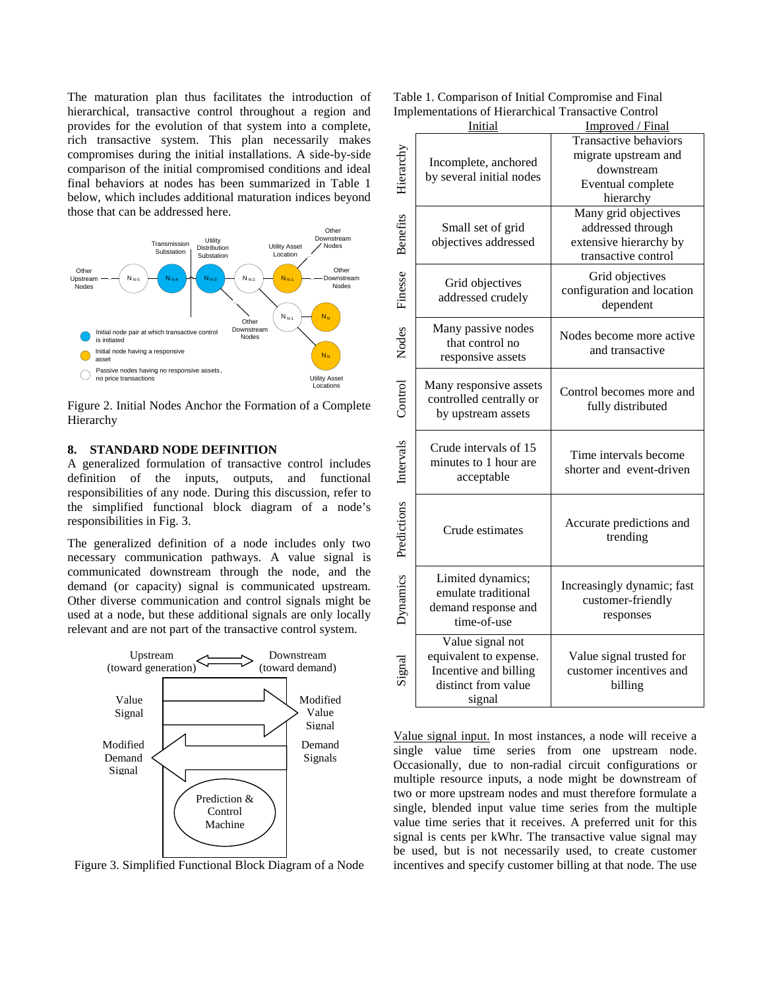The maturation plan thus facilitates the introduction of hierarchical, transactive control throughout a region and provides for the evolution of that system into a complete, rich transactive system. This plan necessarily makes compromises during the initial installations. A side-by-side comparison of the initial compromised conditions and ideal final behaviors at nodes has been summarized in Table 1 below, which includes additional maturation indices beyond those that can be addressed here.



Figure 2. Initial Nodes Anchor the Formation of a Complete Hierarchy

#### **8. STANDARD NODE DEFINITION**

A generalized formulation of transactive control includes definition of the inputs, outputs, and functional responsibilities of any node. During this discussion, refer to the simplified functional block diagram of a node's responsibilities in Fig. 3.

The generalized definition of a node includes only two necessary communication pathways. A value signal is communicated downstream through the node, and the demand (or capacity) signal is communicated upstream. Other diverse communication and control signals might be used at a node, but these additional signals are only locally relevant and are not part of the transactive control system.



Figure 3. Simplified Functional Block Diagram of a Node

| Table 1. Comparison of Initial Compromise and Final        |
|------------------------------------------------------------|
| <b>Implementations of Hierarchical Transactive Control</b> |

|                       | inpictuonations of frictal chical Fransa<br><b>Initial</b>                                           | Improved / Final                                                                                     |  |
|-----------------------|------------------------------------------------------------------------------------------------------|------------------------------------------------------------------------------------------------------|--|
| Hierarchy             | Incomplete, anchored<br>by several initial nodes                                                     | <b>Transactive behaviors</b><br>migrate upstream and<br>downstream<br>Eventual complete<br>hierarchy |  |
| <b>Benefits</b>       | Small set of grid<br>objectives addressed                                                            | Many grid objectives<br>addressed through<br>extensive hierarchy by<br>transactive control           |  |
| Finesse               | Grid objectives<br>addressed crudely                                                                 | Grid objectives<br>configuration and location<br>dependent                                           |  |
| Control Nodes         | Many passive nodes<br>that control no<br>responsive assets                                           | Nodes become more active<br>and transactive                                                          |  |
|                       | Many responsive assets<br>controlled centrally or<br>by upstream assets                              | Control becomes more and<br>fully distributed                                                        |  |
|                       | Crude intervals of 15<br>minutes to 1 hour are<br>acceptable                                         | Time intervals become<br>shorter and event-driven                                                    |  |
| Predictions Intervals | Crude estimates                                                                                      | Accurate predictions and<br>trending                                                                 |  |
| Dynamics              | Limited dynamics;<br>emulate traditional<br>demand response and<br>time-of-use                       | Increasingly dynamic; fast<br>customer-friendly<br>responses                                         |  |
| Signal                | Value signal not<br>equivalent to expense.<br>Incentive and billing<br>distinct from value<br>signal | Value signal trusted for<br>customer incentives and<br>billing                                       |  |

Value signal input. In most instances, a node will receive a single value time series from one upstream node. Occasionally, due to non-radial circuit configurations or multiple resource inputs, a node might be downstream of two or more upstream nodes and must therefore formulate a single, blended input value time series from the multiple value time series that it receives. A preferred unit for this signal is cents per kWhr. The transactive value signal may be used, but is not necessarily used, to create customer incentives and specify customer billing at that node. The use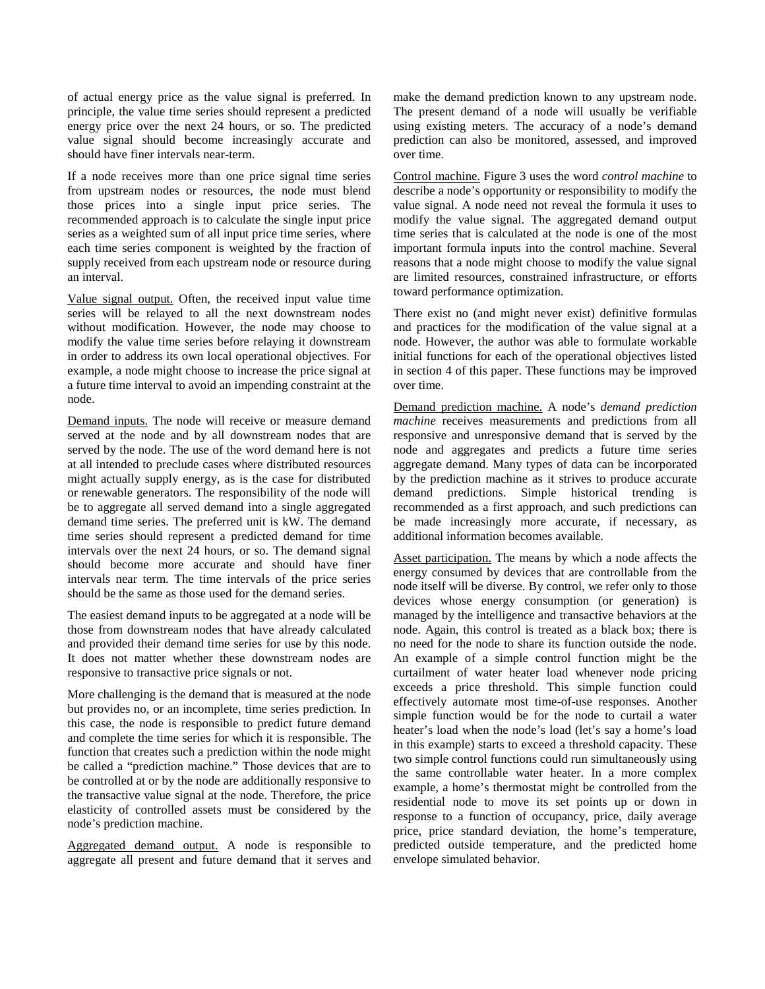of actual energy price as the value signal is preferred. In principle, the value time series should represent a predicted energy price over the next 24 hours, or so. The predicted value signal should become increasingly accurate and should have finer intervals near-term.

If a node receives more than one price signal time series from upstream nodes or resources, the node must blend those prices into a single input price series. The recommended approach is to calculate the single input price series as a weighted sum of all input price time series, where each time series component is weighted by the fraction of supply received from each upstream node or resource during an interval.

Value signal output. Often, the received input value time series will be relayed to all the next downstream nodes without modification. However, the node may choose to modify the value time series before relaying it downstream in order to address its own local operational objectives. For example, a node might choose to increase the price signal at a future time interval to avoid an impending constraint at the node.

Demand inputs. The node will receive or measure demand served at the node and by all downstream nodes that are served by the node. The use of the word demand here is not at all intended to preclude cases where distributed resources might actually supply energy, as is the case for distributed or renewable generators. The responsibility of the node will be to aggregate all served demand into a single aggregated demand time series. The preferred unit is kW. The demand time series should represent a predicted demand for time intervals over the next 24 hours, or so. The demand signal should become more accurate and should have finer intervals near term. The time intervals of the price series should be the same as those used for the demand series.

The easiest demand inputs to be aggregated at a node will be those from downstream nodes that have already calculated and provided their demand time series for use by this node. It does not matter whether these downstream nodes are responsive to transactive price signals or not.

More challenging is the demand that is measured at the node but provides no, or an incomplete, time series prediction. In this case, the node is responsible to predict future demand and complete the time series for which it is responsible. The function that creates such a prediction within the node might be called a "prediction machine." Those devices that are to be controlled at or by the node are additionally responsive to the transactive value signal at the node. Therefore, the price elasticity of controlled assets must be considered by the node's prediction machine.

Aggregated demand output. A node is responsible to aggregate all present and future demand that it serves and make the demand prediction known to any upstream node. The present demand of a node will usually be verifiable using existing meters. The accuracy of a node's demand prediction can also be monitored, assessed, and improved over time.

Control machine. Figure 3 uses the word *control machine* to describe a node's opportunity or responsibility to modify the value signal. A node need not reveal the formula it uses to modify the value signal. The aggregated demand output time series that is calculated at the node is one of the most important formula inputs into the control machine. Several reasons that a node might choose to modify the value signal are limited resources, constrained infrastructure, or efforts toward performance optimization.

There exist no (and might never exist) definitive formulas and practices for the modification of the value signal at a node. However, the author was able to formulate workable initial functions for each of the operational objectives listed in section 4 of this paper. These functions may be improved over time.

Demand prediction machine. A node's *demand prediction machine* receives measurements and predictions from all responsive and unresponsive demand that is served by the node and aggregates and predicts a future time series aggregate demand. Many types of data can be incorporated by the prediction machine as it strives to produce accurate demand predictions. Simple historical trending is recommended as a first approach, and such predictions can be made increasingly more accurate, if necessary, as additional information becomes available.

Asset participation. The means by which a node affects the energy consumed by devices that are controllable from the node itself will be diverse. By control, we refer only to those devices whose energy consumption (or generation) is managed by the intelligence and transactive behaviors at the node. Again, this control is treated as a black box; there is no need for the node to share its function outside the node. An example of a simple control function might be the curtailment of water heater load whenever node pricing exceeds a price threshold. This simple function could effectively automate most time-of-use responses. Another simple function would be for the node to curtail a water heater's load when the node's load (let's say a home's load in this example) starts to exceed a threshold capacity. These two simple control functions could run simultaneously using the same controllable water heater. In a more complex example, a home's thermostat might be controlled from the residential node to move its set points up or down in response to a function of occupancy, price, daily average price, price standard deviation, the home's temperature, predicted outside temperature, and the predicted home envelope simulated behavior.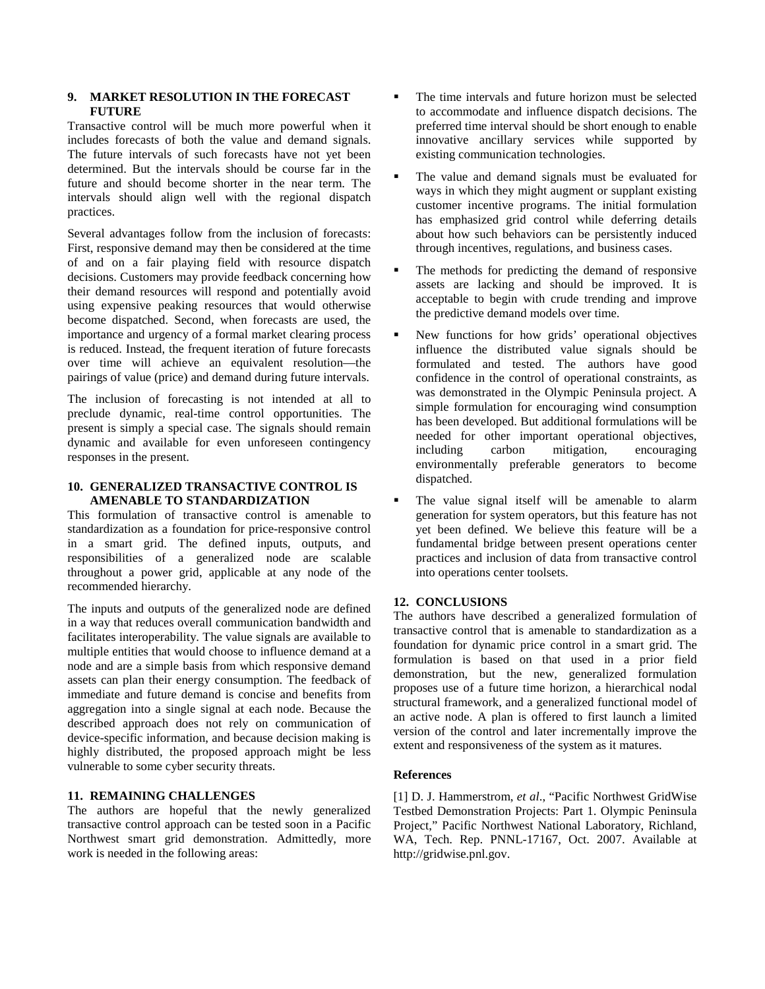## **9. MARKET RESOLUTION IN THE FORECAST FUTURE**

Transactive control will be much more powerful when it includes forecasts of both the value and demand signals. The future intervals of such forecasts have not yet been determined. But the intervals should be course far in the future and should become shorter in the near term. The intervals should align well with the regional dispatch practices.

Several advantages follow from the inclusion of forecasts: First, responsive demand may then be considered at the time of and on a fair playing field with resource dispatch decisions. Customers may provide feedback concerning how their demand resources will respond and potentially avoid using expensive peaking resources that would otherwise become dispatched. Second, when forecasts are used, the importance and urgency of a formal market clearing process is reduced. Instead, the frequent iteration of future forecasts over time will achieve an equivalent resolution—the pairings of value (price) and demand during future intervals.

The inclusion of forecasting is not intended at all to preclude dynamic, real-time control opportunities. The present is simply a special case. The signals should remain dynamic and available for even unforeseen contingency responses in the present.

## **10. GENERALIZED TRANSACTIVE CONTROL IS AMENABLE TO STANDARDIZATION**

This formulation of transactive control is amenable to standardization as a foundation for price-responsive control in a smart grid. The defined inputs, outputs, and responsibilities of a generalized node are scalable throughout a power grid, applicable at any node of the recommended hierarchy.

The inputs and outputs of the generalized node are defined in a way that reduces overall communication bandwidth and facilitates interoperability. The value signals are available to multiple entities that would choose to influence demand at a node and are a simple basis from which responsive demand assets can plan their energy consumption. The feedback of immediate and future demand is concise and benefits from aggregation into a single signal at each node. Because the described approach does not rely on communication of device-specific information, and because decision making is highly distributed, the proposed approach might be less vulnerable to some cyber security threats.

## **11. REMAINING CHALLENGES**

The authors are hopeful that the newly generalized transactive control approach can be tested soon in a Pacific Northwest smart grid demonstration. Admittedly, more work is needed in the following areas:

- The time intervals and future horizon must be selected to accommodate and influence dispatch decisions. The preferred time interval should be short enough to enable innovative ancillary services while supported by existing communication technologies.
- The value and demand signals must be evaluated for ways in which they might augment or supplant existing customer incentive programs. The initial formulation has emphasized grid control while deferring details about how such behaviors can be persistently induced through incentives, regulations, and business cases.
- The methods for predicting the demand of responsive assets are lacking and should be improved. It is acceptable to begin with crude trending and improve the predictive demand models over time.
- New functions for how grids' operational objectives influence the distributed value signals should be formulated and tested. The authors have good confidence in the control of operational constraints, as was demonstrated in the Olympic Peninsula project. A simple formulation for encouraging wind consumption has been developed. But additional formulations will be needed for other important operational objectives, including carbon mitigation, encouraging environmentally preferable generators to become dispatched.
- The value signal itself will be amenable to alarm generation for system operators, but this feature has not yet been defined. We believe this feature will be a fundamental bridge between present operations center practices and inclusion of data from transactive control into operations center toolsets.

## **12. CONCLUSIONS**

The authors have described a generalized formulation of transactive control that is amenable to standardization as a foundation for dynamic price control in a smart grid. The formulation is based on that used in a prior field demonstration, but the new, generalized formulation proposes use of a future time horizon, a hierarchical nodal structural framework, and a generalized functional model of an active node. A plan is offered to first launch a limited version of the control and later incrementally improve the extent and responsiveness of the system as it matures.

## **References**

[1] D. J. Hammerstrom, *et al*., "Pacific Northwest GridWise Testbed Demonstration Projects: Part 1. Olympic Peninsula Project," Pacific Northwest National Laboratory, Richland, WA, Tech. Rep. PNNL-17167, Oct. 2007. Available at http://gridwise.pnl.gov.